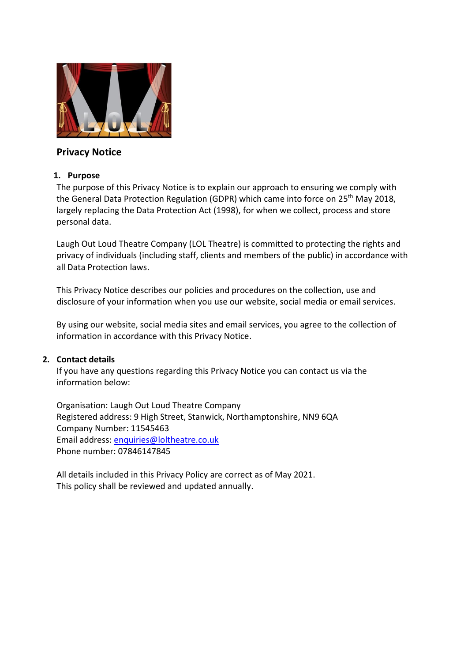

# **Privacy Notice**

#### **1. Purpose**

The purpose of this Privacy Notice is to explain our approach to ensuring we comply with the General Data Protection Regulation (GDPR) which came into force on 25<sup>th</sup> May 2018, largely replacing the Data Protection Act (1998), for when we collect, process and store personal data.

Laugh Out Loud Theatre Company (LOL Theatre) is committed to protecting the rights and privacy of individuals (including staff, clients and members of the public) in accordance with all Data Protection laws.

This Privacy Notice describes our policies and procedures on the collection, use and disclosure of your information when you use our website, social media or email services.

By using our website, social media sites and email services, you agree to the collection of information in accordance with this Privacy Notice.

### **2. Contact details**

If you have any questions regarding this Privacy Notice you can contact us via the information below:

Organisation: Laugh Out Loud Theatre Company Registered address: 9 High Street, Stanwick, Northamptonshire, NN9 6QA Company Number: 11545463 Email address: [enquiries@loltheatre.co.uk](mailto:enquiries@loltheatre.co.uk) Phone number: 07846147845

All details included in this Privacy Policy are correct as of May 2021. This policy shall be reviewed and updated annually.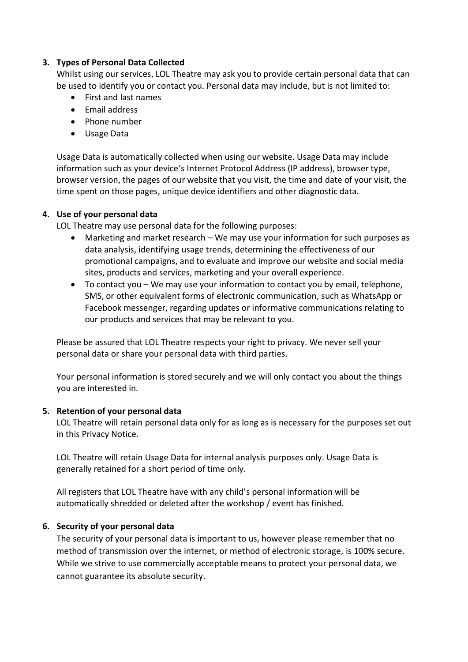#### **3. Types of Personal Data Collected**

Whilst using our services, LOL Theatre may ask you to provide certain personal data that can be used to identify you or contact you. Personal data may include, but is not limited to:

- First and last names
- $\bullet$  Fmail address
- Phone number
- Usage Data

Usage Data is automatically collected when using our website. Usage Data may include information such as your device's Internet Protocol Address (IP address), browser type, browser version, the pages of our website that you visit, the time and date of your visit, the time spent on those pages, unique device identifiers and other diagnostic data.

#### **4. Use of your personal data**

LOL Theatre may use personal data for the following purposes:

- Marketing and market research We may use your information for such purposes as data analysis, identifying usage trends, determining the effectiveness of our promotional campaigns, and to evaluate and improve our website and social media sites, products and services, marketing and your overall experience.
- To contact you We may use your information to contact you by email, telephone, SMS, or other equivalent forms of electronic communication, such as WhatsApp or Facebook messenger, regarding updates or informative communications relating to our products and services that may be relevant to you.

Please be assured that LOL Theatre respects your right to privacy. We never sell your personal data or share your personal data with third parties.

Your personal information is stored securely and we will only contact you about the things you are interested in.

### **5. Retention of your personal data**

LOL Theatre will retain personal data only for as long as is necessary for the purposes set out in this Privacy Notice.

LOL Theatre will retain Usage Data for internal analysis purposes only. Usage Data is generally retained for a short period of time only.

All registers that LOL Theatre have with any child's personal information will be automatically shredded or deleted after the workshop / event has finished.

### **6. Security of your personal data**

The security of your personal data is important to us, however please remember that no method of transmission over the internet, or method of electronic storage, is 100% secure. While we strive to use commercially acceptable means to protect your personal data, we cannot guarantee its absolute security.